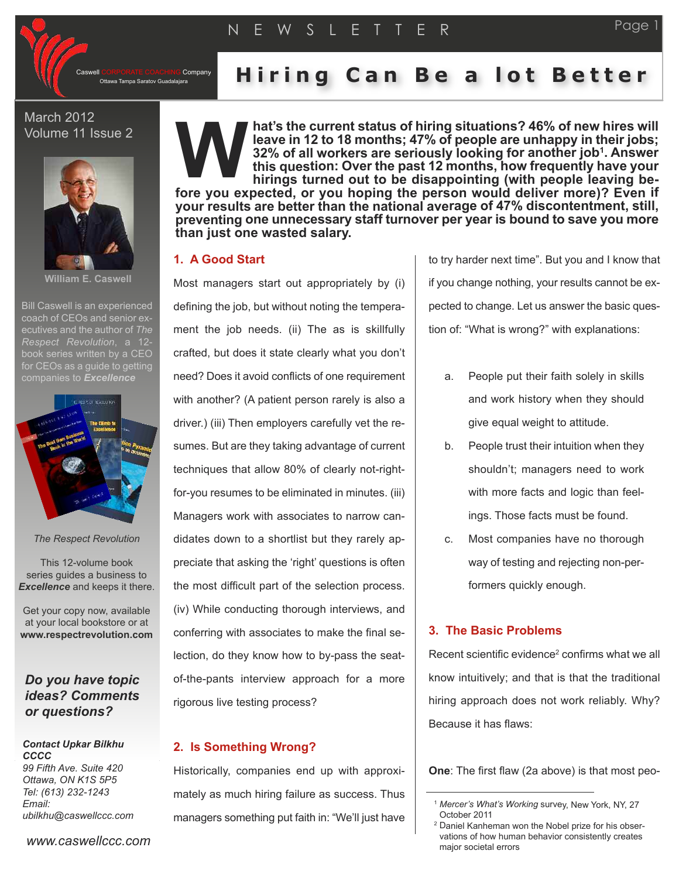

Company

Ottawa Tampa Saratov Guadalajara **H i r i n g C a n B e a l o t B e t t e r**

March 2012 Volume 11 Issue 2



**William E. Caswell**

Bill Caswell is an experienced coach of CEOs and senior executives and the author of *The Respect Revolution*, a 12 book series written by a CEO for CEOs as a quide to getting companies to *Excellence*



#### *The Respect Revolution*

This 12-volume book series guides a business to *Excellence* and keeps it there.

Get your copy now, available at your local bookstore or at **www.respectrevolution.com**

# *Do you have topic ideas? Comments or questions?*

*Contact Upkar Bilkhu CCCC 99 Fifth Ave. Suite 420 Ottawa, ON K1S 5P5 Tel: (613) 232-1243 Email: ubilkhu@caswellccc.com*

*www.caswellccc.com*

**hat's the current status of hiring situations? 46% of new hires will leave in 12 to 18 months; 47% of people are unhappy in their jobs; 32% of all workers are seriously looking for another job1. Answer this question: Over the past 12 months, how frequently have your hirings turned out to be disappointing (with people leaving be fore you expected, or you hoping the person would deliver more)? Even if your results are better than the national average of 47% discontentment, still, preventing one unnecessary staff turnover per year is bound to save you more than just one wasted salary. W**

### **1. A Good Start**

Most managers start out appropriately by (i) defining the job, but without noting the temperament the job needs. (ii) The as is skillfully crafted, but does it state clearly what you don't need? Does it avoid conflicts of one requirement with another? (A patient person rarely is also a driver.) (iii) Then employers carefully vet the resumes. But are they taking advantage of current techniques that allow 80% of clearly not-rightfor-you resumes to be eliminated in minutes. (iii) Managers work with associates to narrow candidates down to a shortlist but they rarely appreciate that asking the 'right' questions is often the most difficult part of the selection process. (iv) While conducting thorough interviews, and conferring with associates to make the final selection, do they know how to by-pass the seatof-the-pants interview approach for a more rigorous live testing process?

## **2. Is Something Wrong?**

Historically, companies end up with approximately as much hiring failure as success. Thus managers something put faith in: "We'll just have

to try harder next time". But you and I know that if you change nothing, your results cannot be expected to change. Let us answer the basic question of: "What is wrong?" with explanations:

- a. People put their faith solely in skills and work history when they should give equal weight to attitude.
- b. People trust their intuition when they shouldn't; managers need to work with more facts and logic than feelings. Those facts must be found.
- c. Most companies have no thorough way of testing and rejecting non-performers quickly enough.

### **3. The Basic Problems**

Recent scientific evidence<sup>2</sup> confirms what we all know intuitively; and that is that the traditional hiring approach does not work reliably. Why? Because it has flaws:

**One**: The first flaw (2a above) is that most peo-

<sup>1</sup> *Mercer's What's Working* survey, New York, NY, 27 October 2011

<sup>2</sup> Daniel Kanheman won the Nobel prize for his observations of how human behavior consistently creates major societal errors